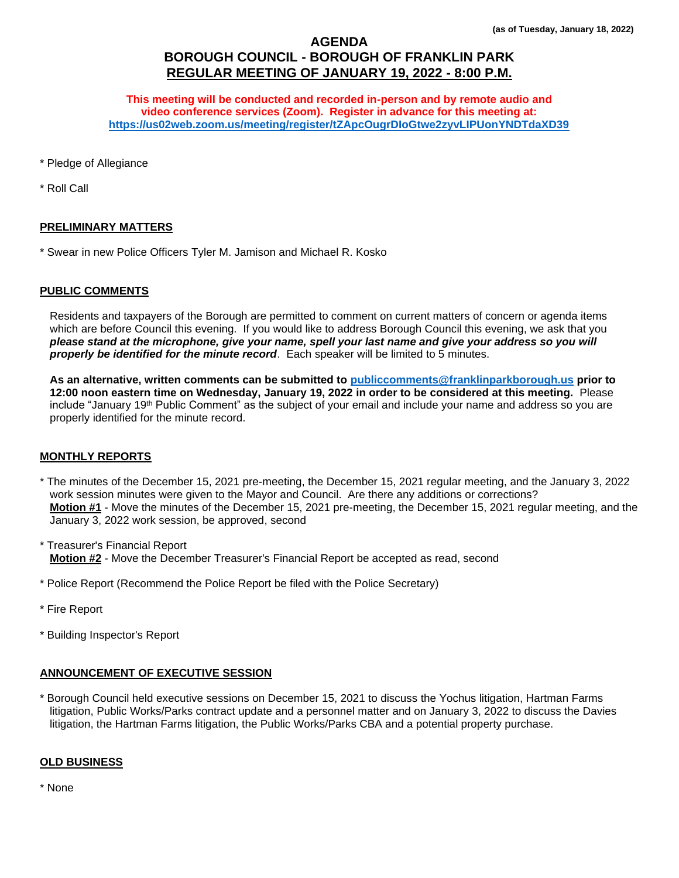# **AGENDA BOROUGH COUNCIL - BOROUGH OF FRANKLIN PARK REGULAR MEETING OF JANUARY 19, 2022 - 8:00 P.M.**

**This meeting will be conducted and recorded in-person and by remote audio and video conference services (Zoom). Register in advance for this meeting at: <https://us02web.zoom.us/meeting/register/tZApcOugrDIoGtwe2zyvLIPUonYNDTdaXD39>**

\* Pledge of Allegiance

\* Roll Call

# **PRELIMINARY MATTERS**

\* Swear in new Police Officers Tyler M. Jamison and Michael R. Kosko

### **PUBLIC COMMENTS**

Residents and taxpayers of the Borough are permitted to comment on current matters of concern or agenda items which are before Council this evening. If you would like to address Borough Council this evening, we ask that you *please stand at the microphone, give your name, spell your last name and give your address so you will properly be identified for the minute record*. Each speaker will be limited to 5 minutes.

**As an alternative, written comments can be submitted to [publiccomments@franklinparkborough.us](mailto:publiccomments@franklinparkborough.us) prior to 12:00 noon eastern time on Wednesday, January 19, 2022 in order to be considered at this meeting.** Please include "January 19<sup>th</sup> Public Comment" as the subject of your email and include your name and address so you are properly identified for the minute record.

# **MONTHLY REPORTS**

- \* The minutes of the December 15, 2021 pre-meeting, the December 15, 2021 regular meeting, and the January 3, 2022 work session minutes were given to the Mayor and Council. Are there any additions or corrections? **Motion #1** - Move the minutes of the December 15, 2021 pre-meeting, the December 15, 2021 regular meeting, and the January 3, 2022 work session, be approved, second
- \* Treasurer's Financial Report **Motion #2** - Move the December Treasurer's Financial Report be accepted as read, second
- \* Police Report (Recommend the Police Report be filed with the Police Secretary)
- \* Fire Report
- \* Building Inspector's Report

# **ANNOUNCEMENT OF EXECUTIVE SESSION**

\* Borough Council held executive sessions on December 15, 2021 to discuss the Yochus litigation, Hartman Farms litigation, Public Works/Parks contract update and a personnel matter and on January 3, 2022 to discuss the Davies litigation, the Hartman Farms litigation, the Public Works/Parks CBA and a potential property purchase.

### **OLD BUSINESS**

\* None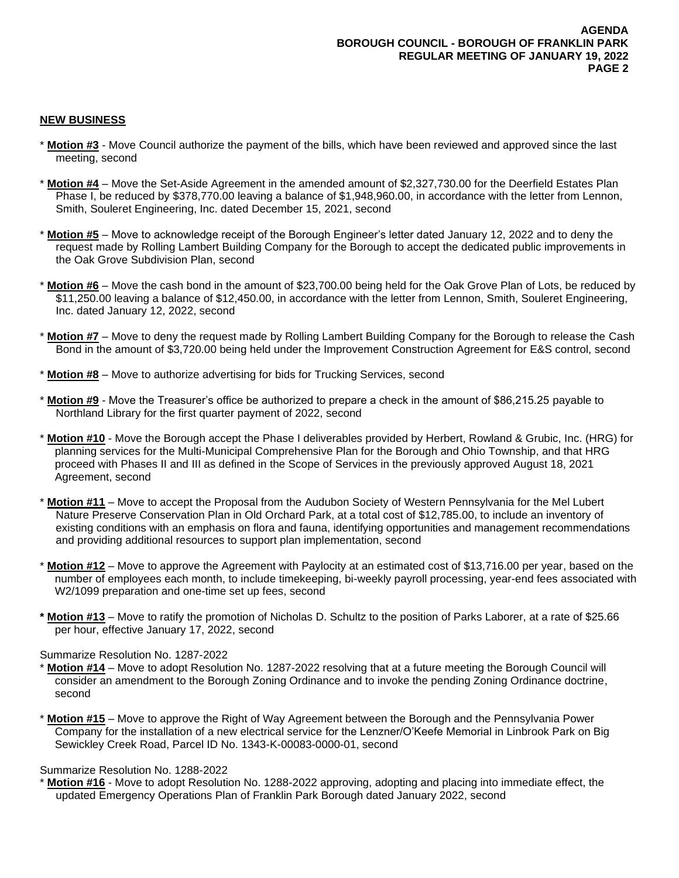### **NEW BUSINESS**

- \* **Motion #3** Move Council authorize the payment of the bills, which have been reviewed and approved since the last meeting, second
- \* **Motion #4** Move the Set-Aside Agreement in the amended amount of \$2,327,730.00 for the Deerfield Estates Plan Phase I, be reduced by \$378,770.00 leaving a balance of \$1,948,960.00, in accordance with the letter from Lennon, Smith, Souleret Engineering, Inc. dated December 15, 2021, second
- \* **Motion #5** Move to acknowledge receipt of the Borough Engineer's letter dated January 12, 2022 and to deny the request made by Rolling Lambert Building Company for the Borough to accept the dedicated public improvements in the Oak Grove Subdivision Plan, second
- \* **Motion #6** Move the cash bond in the amount of \$23,700.00 being held for the Oak Grove Plan of Lots, be reduced by \$11,250.00 leaving a balance of \$12,450.00, in accordance with the letter from Lennon, Smith, Souleret Engineering, Inc. dated January 12, 2022, second
- \* **Motion #7** Move to deny the request made by Rolling Lambert Building Company for the Borough to release the Cash Bond in the amount of \$3,720.00 being held under the Improvement Construction Agreement for E&S control, second
- \* **Motion #8** Move to authorize advertising for bids for Trucking Services, second
- \* **Motion #9** Move the Treasurer's office be authorized to prepare a check in the amount of \$86,215.25 payable to Northland Library for the first quarter payment of 2022, second
- \* **Motion #10** Move the Borough accept the Phase I deliverables provided by Herbert, Rowland & Grubic, Inc. (HRG) for planning services for the Multi-Municipal Comprehensive Plan for the Borough and Ohio Township, and that HRG proceed with Phases II and III as defined in the Scope of Services in the previously approved August 18, 2021 Agreement, second
- **Motion #11** Move to accept the Proposal from the Audubon Society of Western Pennsylvania for the Mel Lubert Nature Preserve Conservation Plan in Old Orchard Park, at a total cost of \$12,785.00, to include an inventory of existing conditions with an emphasis on flora and fauna, identifying opportunities and management recommendations and providing additional resources to support plan implementation, second
- **Motion #12** Move to approve the Agreement with Paylocity at an estimated cost of \$13,716.00 per year, based on the number of employees each month, to include timekeeping, bi-weekly payroll processing, year-end fees associated with W2/1099 preparation and one-time set up fees, second
- **\* Motion #13** Move to ratify the promotion of Nicholas D. Schultz to the position of Parks Laborer, at a rate of \$25.66 per hour, effective January 17, 2022, second

#### Summarize Resolution No. 1287-2022

- **Motion #14** Move to adopt Resolution No. 1287-2022 resolving that at a future meeting the Borough Council will consider an amendment to the Borough Zoning Ordinance and to invoke the pending Zoning Ordinance doctrine, second
- \* **Motion #15** Move to approve the Right of Way Agreement between the Borough and the Pennsylvania Power Company for the installation of a new electrical service for the Lenzner/O'Keefe Memorial in Linbrook Park on Big Sewickley Creek Road, Parcel ID No. 1343-K-00083-0000-01, second

### Summarize Resolution No. 1288-2022

**Motion #16** - Move to adopt Resolution No. 1288-2022 approving, adopting and placing into immediate effect, the updated Emergency Operations Plan of Franklin Park Borough dated January 2022, second